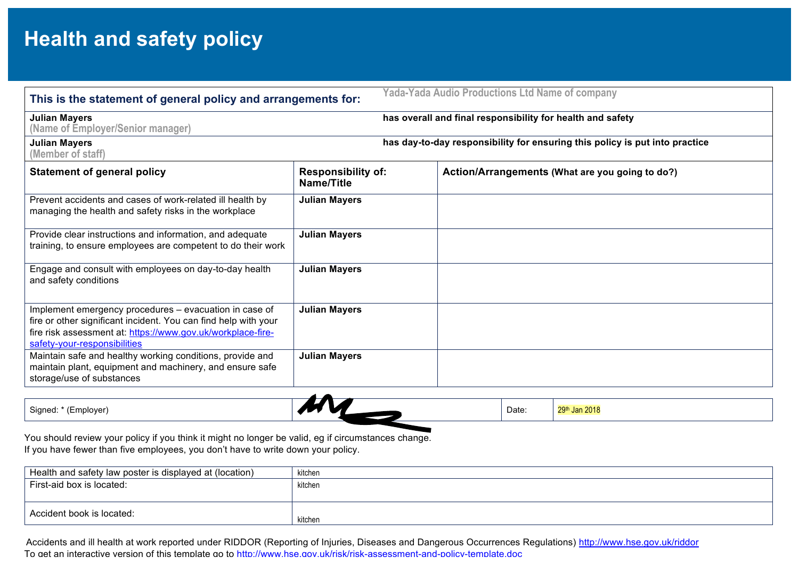## **Health and safety policy**

| <b>Yada-Yada Audio Productions Ltd Name of company</b><br>This is the statement of general policy and arrangements for:                                                                                                  |                                                                             |                                                 |  |  |  |  |
|--------------------------------------------------------------------------------------------------------------------------------------------------------------------------------------------------------------------------|-----------------------------------------------------------------------------|-------------------------------------------------|--|--|--|--|
| <b>Julian Mayers</b><br>has overall and final responsibility for health and safety<br>(Name of Employer/Senior manager)                                                                                                  |                                                                             |                                                 |  |  |  |  |
| <b>Julian Mayers</b><br>(Member of staff)                                                                                                                                                                                | has day-to-day responsibility for ensuring this policy is put into practice |                                                 |  |  |  |  |
| <b>Statement of general policy</b>                                                                                                                                                                                       | <b>Responsibility of:</b><br>Name/Title                                     | Action/Arrangements (What are you going to do?) |  |  |  |  |
| Prevent accidents and cases of work-related ill health by<br>managing the health and safety risks in the workplace                                                                                                       | <b>Julian Mayers</b>                                                        |                                                 |  |  |  |  |
| Provide clear instructions and information, and adequate<br>training, to ensure employees are competent to do their work                                                                                                 | <b>Julian Mayers</b>                                                        |                                                 |  |  |  |  |
| Engage and consult with employees on day-to-day health<br>and safety conditions                                                                                                                                          | <b>Julian Mayers</b>                                                        |                                                 |  |  |  |  |
| Implement emergency procedures - evacuation in case of<br>fire or other significant incident. You can find help with your<br>fire risk assessment at: https://www.gov.uk/workplace-fire-<br>safety-your-responsibilities | <b>Julian Mayers</b>                                                        |                                                 |  |  |  |  |
| Maintain safe and healthy working conditions, provide and<br>maintain plant, equipment and machinery, and ensure safe<br>storage/use of substances                                                                       | <b>Julian Mayers</b>                                                        |                                                 |  |  |  |  |

| Signed: * (I<br>(Employer) | Date: | <b>Jan 2018</b> |
|----------------------------|-------|-----------------|
|                            |       |                 |

You should review your policy if you think it might no longer be valid, eg if circumstances change. If you have fewer than five employees, you don't have to write down your policy.

| Health and safety law poster is displayed at (location) | kitchen   |
|---------------------------------------------------------|-----------|
| l First-aid box is located:                             | kitchen   |
|                                                         |           |
| Accident book is located:                               | , kitchen |

Accidents and ill health at work reported under RIDDOR (Reporting of Injuries, Diseases and Dangerous Occurrences Regulations) http://www.hse.gov.uk/riddor To get an interactive version of this template go to http://www.hse.gov.uk/risk/risk-assessment-and-policy-template.doc